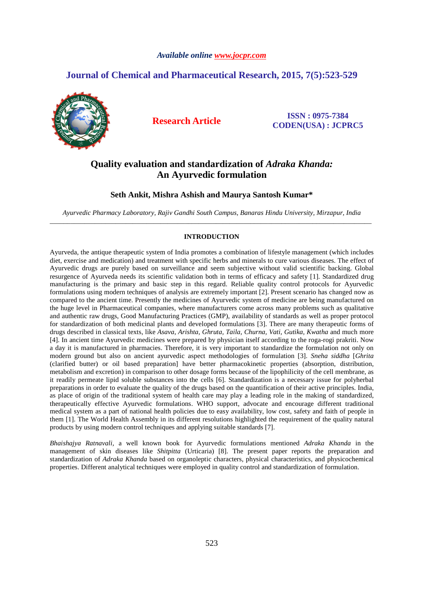# *Available online www.jocpr.com*

# **Journal of Chemical and Pharmaceutical Research, 2015, 7(5):523-529**



**Research Article ISSN : 0975-7384 CODEN(USA) : JCPRC5**

# **Quality evaluation and standardization of** *Adraka Khanda:* **An Ayurvedic formulation**

# **Seth Ankit, Mishra Ashish and Maurya Santosh Kumar\***

*Ayurvedic Pharmacy Laboratory, Rajiv Gandhi South Campus, Banaras Hindu University, Mirzapur, India*  \_\_\_\_\_\_\_\_\_\_\_\_\_\_\_\_\_\_\_\_\_\_\_\_\_\_\_\_\_\_\_\_\_\_\_\_\_\_\_\_\_\_\_\_\_\_\_\_\_\_\_\_\_\_\_\_\_\_\_\_\_\_\_\_\_\_\_\_\_\_\_\_\_\_\_\_\_\_\_\_\_\_\_\_\_\_\_\_\_\_\_\_\_

# **INTRODUCTION**

Ayurveda, the antique therapeutic system of India promotes a combination of lifestyle management (which includes diet, exercise and medication) and treatment with specific herbs and minerals to cure various diseases. The effect of Ayurvedic drugs are purely based on surveillance and seem subjective without valid scientific backing. Global resurgence of Ayurveda needs its scientific validation both in terms of efficacy and safety [1]. Standardized drug manufacturing is the primary and basic step in this regard. Reliable quality control protocols for Ayurvedic formulations using modern techniques of analysis are extremely important [2]. Present scenario has changed now as compared to the ancient time. Presently the medicines of Ayurvedic system of medicine are being manufactured on the huge level in Pharmaceutical companies, where manufacturers come across many problems such as qualitative and authentic raw drugs, Good Manufacturing Practices (GMP), availability of standards as well as proper protocol for standardization of both medicinal plants and developed formulations [3]. There are many therapeutic forms of drugs described in classical texts, like *Asava*, *Arishta, Ghruta, Taila, Churna, Vati, Gutika, Kwatha* and much more [4]. In ancient time Ayurvedic medicines were prepared by physician itself according to the roga-rogi prakriti. Now a day it is manufactured in pharmacies. Therefore, it is very important to standardize the formulation not only on modern ground but also on ancient ayurvedic aspect methodologies of formulation [3]. *Sneha siddha* [*Ghrita* (clarified butter) or oil based preparation] have better pharmacokinetic properties (absorption, distribution, metabolism and excretion) in comparison to other dosage forms because of the lipophilicity of the cell membrane, as it readily permeate lipid soluble substances into the cells [6]. Standardization is a necessary issue for polyherbal preparations in order to evaluate the quality of the drugs based on the quantification of their active principles. India, as place of origin of the traditional system of health care may play a leading role in the making of standardized, therapeutically effective Ayurvedic formulations. WHO support, advocate and encourage different traditional medical system as a part of national health policies due to easy availability, low cost, safety and faith of people in them [1]. The World Health Assembly in its different resolutions highlighted the requirement of the quality natural products by using modern control techniques and applying suitable standards [7].

*Bhaishajya Ratnavali,* a well known book for Ayurvedic formulations mentioned *Adraka Khanda* in the management of skin diseases like *Shitpitta* (Urticaria) [8]. The present paper reports the preparation and standardization of *Adraka Khanda* based on organoleptic characters, physical characteristics, and physicochemical properties. Different analytical techniques were employed in quality control and standardization of formulation.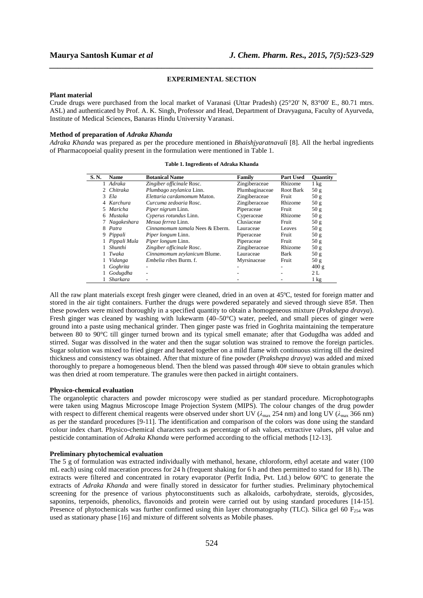# **EXPERIMENTAL SECTION**

*\_\_\_\_\_\_\_\_\_\_\_\_\_\_\_\_\_\_\_\_\_\_\_\_\_\_\_\_\_\_\_\_\_\_\_\_\_\_\_\_\_\_\_\_\_\_\_\_\_\_\_\_\_\_\_\_\_\_\_\_\_\_\_\_\_\_\_\_\_\_\_\_\_\_\_\_\_\_*

#### **Plant material**

Crude drugs were purchased from the local market of Varanasi (Uttar Pradesh) (25°20' N, 83°00' E., 80.71 mtrs. ASL) and authenticated by Prof. A. K. Singh, Professor and Head, Department of Dravyaguna, Faculty of Ayurveda, Institute of Medical Sciences, Banaras Hindu University Varanasi.

# **Method of preparation of** *Adraka Khanda*

*Adraka Khanda* was prepared as per the procedure mentioned in *Bhaishjyaratnavali* [8]. All the herbal ingredients of Pharmacopoeial quality present in the formulation were mentioned in Table 1.

| S.N. | Name           | <b>Botanical Name</b>           | Family         | <b>Part Used</b> | <b>Ouantity</b> |
|------|----------------|---------------------------------|----------------|------------------|-----------------|
|      | 1 Adraka       | Zingiber officinale Rosc.       | Zingiberaceae  | Rhizome          | $1 \text{ kg}$  |
|      | 2 Chitraka     | Plumbago zeylanica Linn.        | Plumbaginaceae | Root Bark        | 50 <sub>g</sub> |
|      | 3 Ela          | Elettaria cardamomum Maton.     | Zingiberaceae  | Fruit            | 50g             |
|      | 4 Karchura     | Curcuma zedoaria Rosc.          | Zingiberaceae  | Rhizome          | 50 <sub>g</sub> |
|      | 5 Maricha      | <i>Piper nigrum Linn.</i>       | Piperaceae     | Fruit            | 50 <sub>g</sub> |
| 6.   | Mustaka        | Cyperus rotundus Linn.          | Cyperaceae     | Rhizome          | 50 <sub>g</sub> |
|      | 7 Nagakeshara  | Mesua ferrea Linn.              | Clusiaceae     | Fruit            | 50 <sub>g</sub> |
| 8    | Patra          | Cinnamomum tamala Nees & Eberm. | Lauraceae      | Leaves           | 50 <sub>g</sub> |
|      | 9 Pippali      | <i>Piper longum Linn.</i>       | Piperaceae     | Fruit            | 50 <sub>g</sub> |
|      | 1 Pippali Mula | <i>Piper longum Linn.</i>       | Piperaceae     | Fruit            | 50 <sub>g</sub> |
|      | Shunthi        | Zingiber officinale Rosc.       | Zingiberaceae  | Rhizome          | 50g             |
|      | 1 Twaka        | Cinnamomum zeylanicum Blume.    | Lauraceae      | Bark             | 50 g            |
|      | Vidanga        | Embelia ribes Burm. f.          | Myrsinaceae    | Fruit            | 50 <sub>g</sub> |
|      | Goghrita       |                                 |                |                  | 400 g           |
|      | Godugdha       |                                 |                |                  | 2L              |
|      | Sharkara       |                                 |                |                  | $1 \text{ kg}$  |

#### **Table 1. Ingredients of Adraka Khanda**

All the raw plant materials except fresh ginger were cleaned, dried in an oven at 45ºC, tested for foreign matter and stored in the air tight containers. Further the drugs were powdered separately and sieved through sieve 85#. Then these powders were mixed thoroughly in a specified quantity to obtain a homogeneous mixture (*Prakshepa dravya*). Fresh ginger was cleaned by washing with lukewarm (40–50°C) water, peeled, and small pieces of ginger were ground into a paste using mechanical grinder. Then ginger paste was fried in Goghrita maintaining the temperature between 80 to 90°C till ginger turned brown and its typical smell emanate; after that Godugdha was added and stirred. Sugar was dissolved in the water and then the sugar solution was strained to remove the foreign particles. Sugar solution was mixed to fried ginger and heated together on a mild flame with continuous stirring till the desired thickness and consistency was obtained. After that mixture of fine powder (*Prakshepa dravya*) was added and mixed thoroughly to prepare a homogeneous blend. Then the blend was passed through 40# sieve to obtain granules which was then dried at room temperature. The granules were then packed in airtight containers.

#### **Physico-chemical evaluation**

The organoleptic characters and powder microscopy were studied as per standard procedure. Microphotographs were taken using Magnus Microscope Image Projection System (MIPS). The colour changes of the drug powder with respect to different chemical reagents were observed under short UV (λ<sub>max</sub> 254 nm) and long UV (λ<sub>max</sub> 366 nm) as per the standard procedures [9-11]. The identification and comparison of the colors was done using the standard colour index chart. Physico-chemical characters such as percentage of ash values, extractive values, pH value and pesticide contamination of *Adraka Khanda* were performed according to the official methods [12-13].

# **Preliminary phytochemical evaluation**

The 5 g of formulation was extracted individually with methanol, hexane, chloroform, ethyl acetate and water (100 mL each) using cold maceration process for 24 h (frequent shaking for 6 h and then permitted to stand for 18 h). The extracts were filtered and concentrated in rotary evaporator (Perfit India, Pvt. Ltd.) below 60°C to generate the extracts of *Adraka Khanda* and were finally stored in dessicator for further studies. Preliminary phytochemical screening for the presence of various phytoconstituents such as alkaloids, carbohydrate, steroids, glycosides, saponins, terpenoids, phenolics, flavonoids and protein were carried out by using standard procedures [14-15]. Presence of phytochemicals was further confirmed using thin layer chromatography (TLC). Silica gel 60  $F_{254}$  was used as stationary phase [16] and mixture of different solvents as Mobile phases.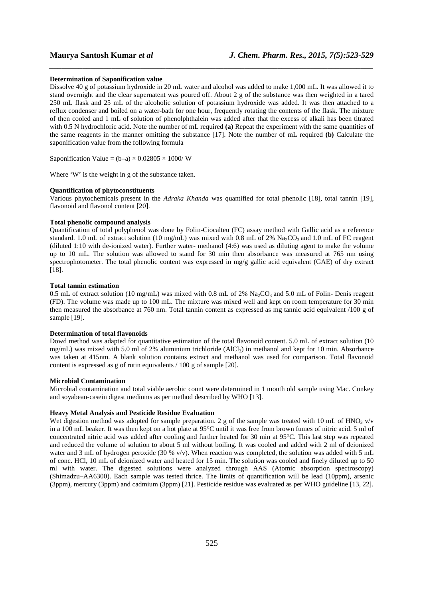### **Determination of Saponification value**

Dissolve 40 g of potassium hydroxide in 20 mL water and alcohol was added to make 1,000 mL. It was allowed it to stand overnight and the clear supernatent was poured off. About 2 g of the substance was then weighted in a tared 250 mL flask and 25 mL of the alcoholic solution of potassium hydroxide was added. It was then attached to a reflux condenser and boiled on a water-bath for one hour, frequently rotating the contents of the flask. The mixture of then cooled and 1 mL of solution of phenolphthalein was added after that the excess of alkali has been titrated with 0.5 N hydrochloric acid. Note the number of mL required **(a)** Repeat the experiment with the same quantities of the same reagents in the manner omitting the substance [17]. Note the number of mL required **(b)** Calculate the saponification value from the following formula

*\_\_\_\_\_\_\_\_\_\_\_\_\_\_\_\_\_\_\_\_\_\_\_\_\_\_\_\_\_\_\_\_\_\_\_\_\_\_\_\_\_\_\_\_\_\_\_\_\_\_\_\_\_\_\_\_\_\_\_\_\_\_\_\_\_\_\_\_\_\_\_\_\_\_\_\_\_\_*

Saponification Value =  $(b-a) \times 0.02805 \times 1000$ / W

Where 'W' is the weight in g of the substance taken.

# **Quantification of phytoconstituents**

Various phytochemicals present in the *Adraka Khanda* was quantified for total phenolic [18], total tannin [19], flavonoid and flavonol content [20].

# **Total phenolic compound analysis**

Quantification of total polyphenol was done by Folin-Ciocalteu (FC) assay method with Gallic acid as a reference standard. 1.0 mL of extract solution (10 mg/mL) was mixed with 0.8 mL of 2% Na<sub>2</sub>CO<sub>3</sub> and 1.0 mL of FC reagent (diluted 1:10 with de-ionized water). Further water- methanol (4:6) was used as diluting agent to make the volume up to 10 mL. The solution was allowed to stand for 30 min then absorbance was measured at 765 nm using spectrophotometer. The total phenolic content was expressed in mg/g gallic acid equivalent (GAE) of dry extract [18].

# **Total tannin estimation**

0.5 mL of extract solution (10 mg/mL) was mixed with 0.8 mL of 2%  $Na<sub>2</sub>CO<sub>3</sub>$  and 5.0 mL of Folin- Denis reagent (FD). The volume was made up to 100 mL. The mixture was mixed well and kept on room temperature for 30 min then measured the absorbance at 760 nm. Total tannin content as expressed as mg tannic acid equivalent /100 g of sample [19].

### **Determination of total flavonoids**

Dowd method was adapted for quantitative estimation of the total flavonoid content. 5.0 mL of extract solution (10) mg/mL) was mixed with 5.0 ml of 2% aluminium trichloride (AlCl<sub>3</sub>) in methanol and kept for 10 min. Absorbance was taken at 415nm. A blank solution contains extract and methanol was used for comparison. Total flavonoid content is expressed as g of rutin equivalents / 100 g of sample [20].

### **Microbial Contamination**

Microbial contamination and total viable aerobic count were determined in 1 month old sample using Mac. Conkey and soyabean-casein digest mediums as per method described by WHO [13].

# **Heavy Metal Analysis and Pesticide Residue Evaluation**

Wet digestion method was adopted for sample preparation. 2 g of the sample was treated with 10 mL of HNO<sub>3</sub> v/v in a 100 mL beaker. It was then kept on a hot plate at 95°C until it was free from brown fumes of nitric acid. 5 ml of concentrated nitric acid was added after cooling and further heated for 30 min at 95°C. This last step was repeated and reduced the volume of solution to about 5 ml without boiling. It was cooled and added with 2 ml of deionized water and 3 mL of hydrogen peroxide (30 % v/v). When reaction was completed, the solution was added with 5 mL of conc. HCl, 10 mL of deionized water and heated for 15 min. The solution was cooled and finely diluted up to 50 ml with water. The digested solutions were analyzed through AAS (Atomic absorption spectroscopy) (Shimadzu‒AA6300). Each sample was tested thrice. The limits of quantification will be lead (10ppm), arsenic (3ppm), mercury (3ppm) and cadmium (3ppm) [21]. Pesticide residue was evaluated as per WHO guideline [13, 22].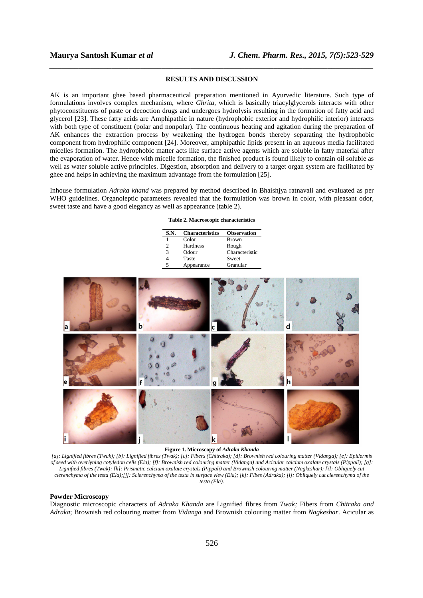# **RESULTS AND DISCUSSION**

*\_\_\_\_\_\_\_\_\_\_\_\_\_\_\_\_\_\_\_\_\_\_\_\_\_\_\_\_\_\_\_\_\_\_\_\_\_\_\_\_\_\_\_\_\_\_\_\_\_\_\_\_\_\_\_\_\_\_\_\_\_\_\_\_\_\_\_\_\_\_\_\_\_\_\_\_\_\_*

AK is an important ghee based pharmaceutical preparation mentioned in Ayurvedic literature. Such type of formulations involves complex mechanism, where *Ghrita*, which is basically triacylglycerols interacts with other phytoconstituents of paste or decoction drugs and undergoes hydrolysis resulting in the formation of fatty acid and glycerol [23]. These fatty acids are Amphipathic in nature (hydrophobic exterior and hydrophilic interior) interacts with both type of constituent (polar and nonpolar). The continuous heating and agitation during the preparation of AK enhances the extraction process by weakening the hydrogen bonds thereby separating the hydrophobic component from hydrophilic component [24]. Moreover, amphipathic lipids present in an aqueous media facilitated micelles formation. The hydrophobic matter acts like surface active agents which are soluble in fatty material after the evaporation of water. Hence with micelle formation, the finished product is found likely to contain oil soluble as well as water soluble active principles. Digestion, absorption and delivery to a target organ system are facilitated by ghee and helps in achieving the maximum advantage from the formulation [25].

Inhouse formulation *Adraka khand* was prepared by method described in Bhaishjya ratnavali and evaluated as per WHO guidelines. Organoleptic parameters revealed that the formulation was brown in color, with pleasant odor, sweet taste and have a good elegancy as well as appearance (table 2).

|  |  |  | Table 2. Macroscopic characteristics |
|--|--|--|--------------------------------------|
|--|--|--|--------------------------------------|

| S.N. | <b>Characteristics</b> | <b>Observation</b> |
|------|------------------------|--------------------|
|      | Color                  | Brown              |
| 2    | Hardness               | Rough              |
| 3    | Odour                  | Characteristic     |
|      | Taste                  | Sweet              |
|      | Appearance             | Granular           |



**Figure 1. Microscopy of** *Adraka Khanda*

*[a]: Lignified fibres (Twak); [b]: Lignified fibres (Twak); [c]: Fibers (Chitraka); [d]: Brownish red colouring matter (Vidanga); [e]: Epidermis of seed with overlyning cotyledon cells (Ela); [f]: Brownish red colouring matter (Vidanga) and Acicular calcium oxalate crystals (Pippali); [g]: Lignified fibres (Twak); [h]: Prismatic calcium oxalate crystals (Pippali) and Brownish colouring matter (Nagkeshar); [i]: Obliquely cut clerenchyma of the testa (Ela);[j]: Sclerenchyma of the testa in surface view (Ela); [k]: Fibes (Adraka); [l]: Obliquely cut clerenchyma of the testa (Ela).* 

# **Powder Microscopy**

Diagnostic microscopic characters of *Adraka Khanda* are Lignified fibres from *Twak;* Fibers from *Chitraka and Adraka*; Brownish red colouring matter from *Vidanga* and Brownish colouring matter from *Nagkeshar*. Acicular as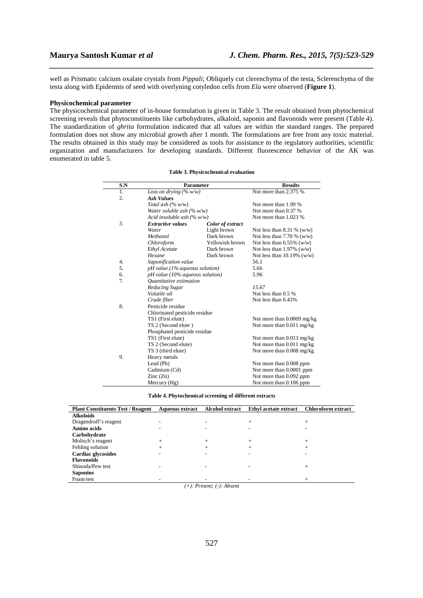well as Prismatic calcium oxalate crystals from *Pippali*; Obliquely cut clerenchyma of the testa, Sclerenchyma of the testa along with Epidermis of seed with overlyning cotyledon cells from *Ela* were observed (**Figure 1**).

*\_\_\_\_\_\_\_\_\_\_\_\_\_\_\_\_\_\_\_\_\_\_\_\_\_\_\_\_\_\_\_\_\_\_\_\_\_\_\_\_\_\_\_\_\_\_\_\_\_\_\_\_\_\_\_\_\_\_\_\_\_\_\_\_\_\_\_\_\_\_\_\_\_\_\_\_\_\_*

# **Physicochemical parameter**

The physicochemical parameter of in-house formulation is given in Table 3. The result obtained from phytochemical screening reveals that phytoconstituents like carbohydrates, alkaloid, saponin and flavonoids were present (Table 4). The standardization of *ghrita* formulation indicated that all values are within the standard ranges. The prepared formulation does not show any microbial growth after 1 month. The formulations are free from any toxic material. The results obtained in this study may be considered as tools for assistance to the regulatory authorities, scientific organization and manufacturers for developing standards. Different fluorescence behavior of the AK was enumerated in table 5.

| S.N | <b>Parameter</b>                             |                 | <b>Results</b>               |  |
|-----|----------------------------------------------|-----------------|------------------------------|--|
| 1.  | Loss on drying $(\% w/w)$                    |                 | Not more than 2.375 %        |  |
| 2.  | <b>Ash Values</b>                            |                 |                              |  |
|     | Total ash $(\% w/w)$                         |                 | Not more than 1.99 %         |  |
|     | Water soluble ash $(\% w/w)$                 |                 | Not more than 0.37 %         |  |
|     | Acid insoluble ash $(\% w/w)$                |                 | Not more than 1.023 %        |  |
| 3.  | <b>Extractive values</b><br>Color of extract |                 |                              |  |
|     | Water                                        | Light brown     | Not less than 8.31 % $(w/w)$ |  |
|     | Methanol                                     | Dark brown      | Not less than 7.70 % $(w/w)$ |  |
|     | Chloroform                                   | Yellowish brown | Not less than 6.55% $(w/w)$  |  |
|     | Ethyl Acetate                                | Dark brown      | Not less than 1.97% $(w/w)$  |  |
|     | Hexane                                       | Dark brown      | Not less than 10.19% $(w/w)$ |  |
| 4.  | Saponification value                         |                 | 56.1                         |  |
| 5.  | $pH$ value (1% aqueous solution)             |                 | 5.66                         |  |
| 6.  | $pH$ value (10% aqueous solution)            |                 | 5.96                         |  |
| 7.  | Ouantitative estimation                      |                 |                              |  |
|     | Reducing Sugar                               |                 | 15.67                        |  |
|     | Volatile oil                                 |                 | Not less than $0.5\%$        |  |
|     | Crude fiber                                  |                 | Not less than 6.43%          |  |
| 8.  | Pesticide residue                            |                 |                              |  |
|     | Chlorinated pesticide residue                |                 |                              |  |
|     | TS1 (First elute)                            |                 | Not more than 0.0009 mg/kg   |  |
|     | TS 2 (Second elute)                          |                 | Not more than $0.011$ mg/kg  |  |
|     | Phosphated pesticide residue                 |                 |                              |  |
|     | TS1 (First elute)                            |                 | Not more than $0.013$ mg/kg  |  |
|     | TS 2 (Second elute)                          |                 | Not more than $0.011$ mg/kg  |  |
|     | TS 3 (third elute)                           |                 | Not more than 0.008 mg/kg    |  |
| 9.  | Heavy metals                                 |                 |                              |  |
|     | Lead (Pb)                                    |                 | Not more than 0.008 ppm      |  |
|     | Cadmium (Cd)                                 |                 | Not more than 0.0001 ppm     |  |
|     | $\text{Zinc}(\text{Zn})$                     |                 | Not more than 0.092 ppm      |  |
|     | Mercury (Hg)                                 |                 | Not more than 0.106 ppm      |  |

#### **Table 3. Physicochemical evaluation**

**Table 4. Phytochemical screening of different extracts** 

| <b>Plant Constituents Test / Reagent</b> | Aqueous extract Alcohol extract |                              | Ethyl acetate extract | <b>Chloroform extract</b> |
|------------------------------------------|---------------------------------|------------------------------|-----------------------|---------------------------|
| <b>Alkoloids</b>                         |                                 |                              |                       |                           |
| Dragendroff's reagent                    |                                 |                              | $^{+}$                | $^+$                      |
| Amino acids                              |                                 |                              |                       |                           |
| Carbohydrate                             |                                 |                              |                       |                           |
| Molisch's reagent                        | $^+$                            | $^+$                         | $^+$                  |                           |
| Fehling solution                         |                                 |                              | $^{+}$                |                           |
| Cardiac glycosides                       |                                 |                              |                       |                           |
| <b>Flavonoids</b>                        |                                 |                              |                       |                           |
| Shinoda/Pew test                         |                                 |                              |                       |                           |
| <b>Saponins</b>                          |                                 |                              |                       |                           |
| Foam test                                |                                 |                              |                       |                           |
|                                          |                                 | $(+)$ : Present; (-): Absent |                       |                           |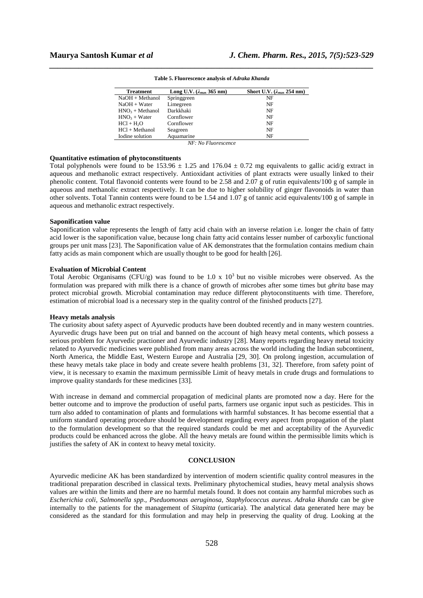| <b>Treatment</b>  | Long U.V. $(\lambda_{\text{max}} 365 \text{ nm})$ | Short U.V. $(\lambda_{\text{max}} 254 \text{ nm})$ |
|-------------------|---------------------------------------------------|----------------------------------------------------|
| NaOH + Methanol   | Springgreen                                       | NF                                                 |
| NaOH + Water      | Limegreen                                         | NF                                                 |
| $HNO3 + Methanol$ | Darkkhaki                                         | NF                                                 |
| $HNO3 + Water$    | Cornflower                                        | NF                                                 |
| $HC1 + H2O$       | Cornflower                                        | NF                                                 |
| $HC1 + Methanol$  | Seagreen                                          | NF                                                 |
| Iodine solution   | Aquamarine                                        | NF                                                 |

*\_\_\_\_\_\_\_\_\_\_\_\_\_\_\_\_\_\_\_\_\_\_\_\_\_\_\_\_\_\_\_\_\_\_\_\_\_\_\_\_\_\_\_\_\_\_\_\_\_\_\_\_\_\_\_\_\_\_\_\_\_\_\_\_\_\_\_\_\_\_\_\_\_\_\_\_\_\_* **Table 5. Fluorescence analysis of** *Adraka Khanda* 

*NF: No Fluorescence* 

# **Quantitative estimation of phytoconstituents**

Total polyphenols were found to be 153.96  $\pm$  1.25 and 176.04  $\pm$  0.72 mg equivalents to gallic acid/g extract in aqueous and methanolic extract respectively. Antioxidant activities of plant extracts were usually linked to their phenolic content. Total flavonoid contents were found to be 2.58 and 2.07 g of rutin equivalents/100 g of sample in aqueous and methanolic extract respectively. It can be due to higher solubility of ginger flavonoids in water than other solvents. Total Tannin contents were found to be 1.54 and 1.07 g of tannic acid equivalents/100 g of sample in aqueous and methanolic extract respectively.

# **Saponification value**

Saponification value represents the length of fatty acid chain with an inverse relation i.e. longer the chain of fatty acid lower is the saponification value, because long chain fatty acid contains lesser number of carboxylic functional groups per unit mass [23]. The Saponification value of AK demonstrates that the formulation contains medium chain fatty acids as main component which are usually thought to be good for health [26].

# **Evaluation of Microbial Content**

Total Aerobic Organisams (CFU/g) was found to be 1.0 x  $10<sup>3</sup>$  but no visible microbes were observed. As the formulation was prepared with milk there is a chance of growth of microbes after some times but *ghrita* base may protect microbial growth. Microbial contamination may reduce different phytoconstituents with time. Therefore, estimation of microbial load is a necessary step in the quality control of the finished products [27].

### **Heavy metals analysis**

The curiosity about safety aspect of Ayurvedic products have been doubted recently and in many western countries. Ayurvedic drugs have been put on trial and banned on the account of high heavy metal contents, which possess a serious problem for Ayurvedic practioner and Ayurvedic industry [28]. Many reports regarding heavy metal toxicity related to Ayurvedic medicines were published from many areas across the world including the Indian subcontinent, North America, the Middle East, Western Europe and Australia [29, 30]. On prolong ingestion, accumulation of these heavy metals take place in body and create severe health problems [31, 32]. Therefore, from safety point of view, it is necessary to examin the maximum permissible Limit of heavy metals in crude drugs and formulations to improve quality standards for these medicines [33].

With increase in demand and commercial propagation of medicinal plants are promoted now a day. Here for the better outcome and to improve the production of useful parts, farmers use organic input such as pesticides. This in turn also added to contamination of plants and formulations with harmful substances. It has become essential that a uniform standard operating procedure should be development regarding every aspect from propagation of the plant to the formulation development so that the required standards could be met and acceptability of the Ayurvedic products could be enhanced across the globe. All the heavy metals are found within the permissible limits which is justifies the safety of AK in context to heavy metal toxicity.

# **CONCLUSION**

Ayurvedic medicine AK has been standardized by intervention of modern scientific quality control measures in the traditional preparation described in classical texts. Preliminary phytochemical studies, heavy metal analysis shows values are within the limits and there are no harmful metals found. It does not contain any harmful microbes such as *Escherichia coli, Salmonella spp., Pseduomonas aeruginosa, Staphylococcus aureus*. *Adraka khanda* can be give internally to the patients for the management of *Sitapitta* (urticaria). The analytical data generated here may be considered as the standard for this formulation and may help in preserving the quality of drug. Looking at the